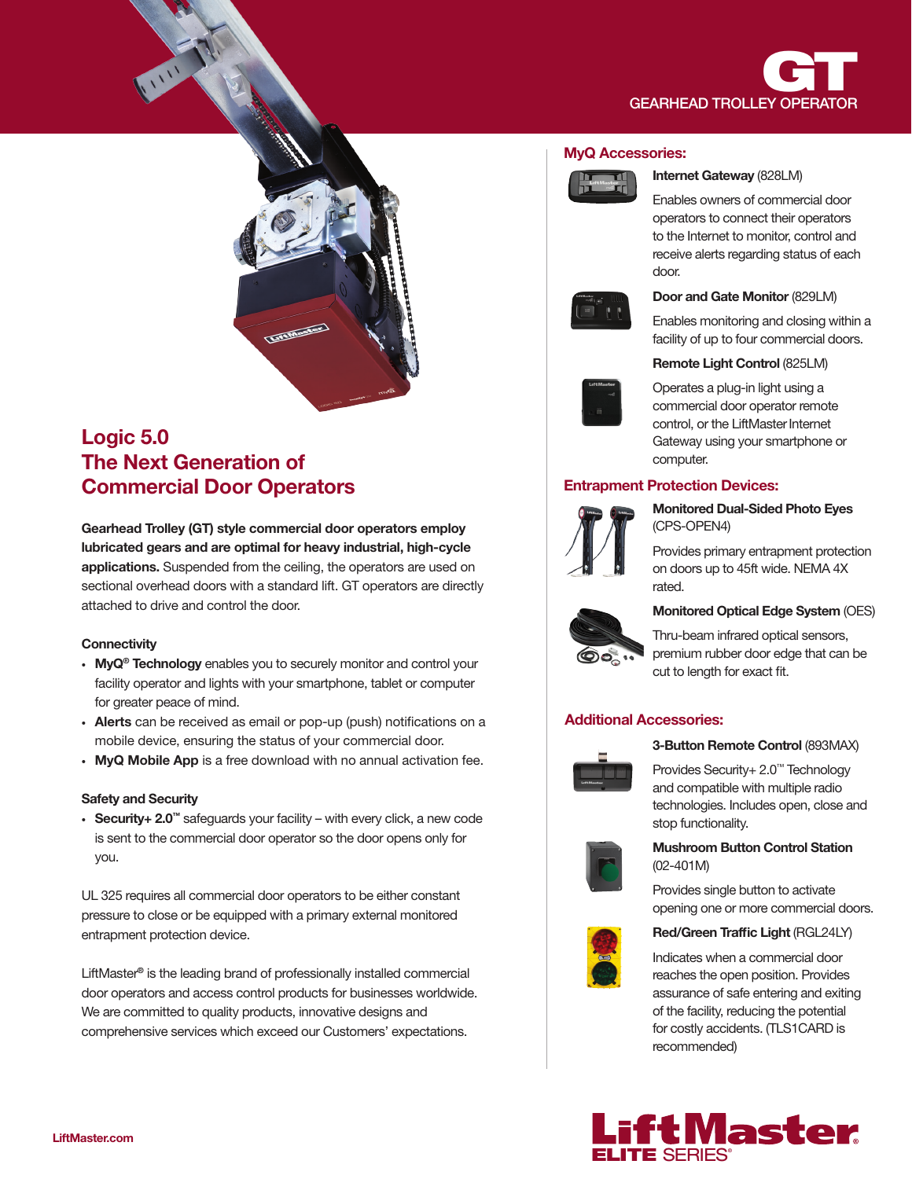



# Logic 5.0 The Next Generation of Commercial Door Operators

Gearhead Trolley (GT) style commercial door operators employ lubricated gears and are optimal for heavy industrial, high-cycle applications. Suspended from the ceiling, the operators are used on sectional overhead doors with a standard lift. GT operators are directly attached to drive and control the door.

# **Connectivity**

- MyQ<sup>®</sup> Technology enables you to securely monitor and control your facility operator and lights with your smartphone, tablet or computer for greater peace of mind.
- Alerts can be received as email or pop-up (push) notifications on a mobile device, ensuring the status of your commercial door.
- MyQ Mobile App is a free download with no annual activation fee.

# Safety and Security

• Security+ 2.0™ safeguards your facility – with every click, a new code is sent to the commercial door operator so the door opens only for you.

UL 325 requires all commercial door operators to be either constant pressure to close or be equipped with a primary external monitored entrapment protection device.

LiftMaster® is the leading brand of professionally installed commercial door operators and access control products for businesses worldwide. We are committed to quality products, innovative designs and comprehensive services which exceed our Customers' expectations.

#### MyQ Accessories:



#### Internet Gateway (828LM)

Enables owners of commercial door operators to connect their operators to the Internet to monitor, control and receive alerts regarding status of each door.



## Door and Gate Monitor (829LM)

Enables monitoring and closing within a facility of up to four commercial doors.



### Remote Light Control (825LM)

Operates a plug-in light using a commercial door operator remote control, or the LiftMaster Internet Gateway using your smartphone or computer.

# Entrapment Protection Devices:



Monitored Dual-Sided Photo Eyes (CPS-OPEN4)

Provides primary entrapment protection on doors up to 45ft wide. NEMA 4X rated.



# Monitored Optical Edge System (OES)

Thru-beam infrared optical sensors, premium rubber door edge that can be cut to length for exact fit.

# Additional Accessories:



# 3-Button Remote Control (893MAX)

Provides Security+ 2.0™ Technology and compatible with multiple radio technologies. Includes open, close and stop functionality.



# Mushroom Button Control Station (02-401M)

Provides single button to activate opening one or more commercial doors.



# Red/Green Traffic Light (RGL24LY)

Indicates when a commercial door reaches the open position. Provides assurance of safe entering and exiting of the facility, reducing the potential for costly accidents. (TLS1CARD is recommended)